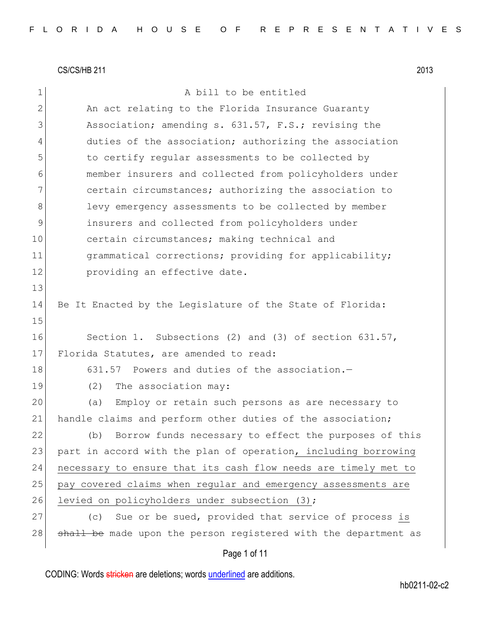1 a bill to be entitled 2 An act relating to the Florida Insurance Guaranty 3 Association; amending s. 631.57, F.S.; revising the 4 duties of the association; authorizing the association 5 to certify regular assessments to be collected by 6 member insurers and collected from policyholders under 7 certain circumstances; authorizing the association to 8 levy emergency assessments to be collected by member 9 insurers and collected from policyholders under 10 certain circumstances; making technical and 11 **grammatical corrections;** providing for applicability; 12 **providing an effective date.** 13 14 Be It Enacted by the Legislature of the State of Florida: 15 16 Section 1. Subsections (2) and (3) of section 631.57, 17 Florida Statutes, are amended to read: 18 631.57 Powers and duties of the association. 19 (2) The association may: 20 (a) Employ or retain such persons as are necessary to 21 handle claims and perform other duties of the association; 22 (b) Borrow funds necessary to effect the purposes of this 23 part in accord with the plan of operation, including borrowing 24 necessary to ensure that its cash flow needs are timely met to 25 pay covered claims when regular and emergency assessments are 26 levied on policyholders under subsection (3); 27 (c) Sue or be sued, provided that service of process is 28 shall be made upon the person registered with the department as

# Page 1 of 11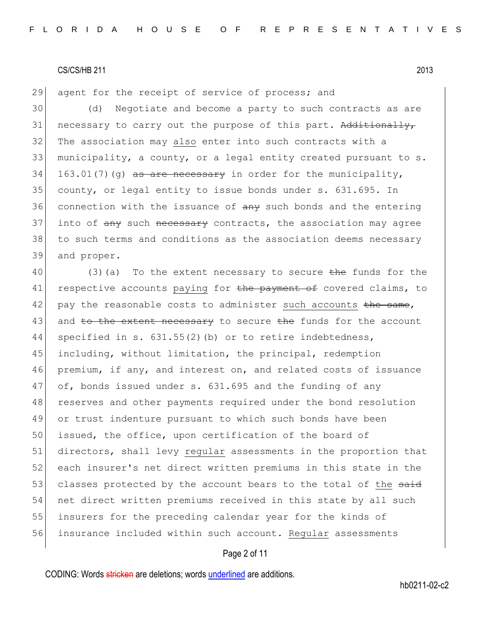29 agent for the receipt of service of process; and

30 (d) Negotiate and become a party to such contracts as are  $31$  necessary to carry out the purpose of this part. Additionally, 32 The association may also enter into such contracts with a 33 municipality, a county, or a legal entity created pursuant to s. 34 163.01(7)(q) as are necessary in order for the municipality, 35 county, or legal entity to issue bonds under s. 631.695. In  $36$  connection with the issuance of  $\frac{1}{2}$  such bonds and the entering 37 into of any such necessary contracts, the association may agree 38 to such terms and conditions as the association deems necessary 39 and proper.

40 (3)(a) To the extent necessary to secure the funds for the 41 respective accounts paying for the payment of covered claims, to  $42$  pay the reasonable costs to administer such accounts the same, 43 and to the extent necessary to secure the funds for the account 44 specified in s. 631.55(2)(b) or to retire indebtedness, 45 including, without limitation, the principal, redemption 46 premium, if any, and interest on, and related costs of issuance 47 of, bonds issued under s. 631.695 and the funding of any 48 reserves and other payments required under the bond resolution 49 or trust indenture pursuant to which such bonds have been 50 issued, the office, upon certification of the board of 51 directors, shall levy regular assessments in the proportion that 52 each insurer's net direct written premiums in this state in the 53 classes protected by the account bears to the total of the said 54 net direct written premiums received in this state by all such 55 insurers for the preceding calendar year for the kinds of 56 insurance included within such account. Regular assessments

## Page 2 of 11

CODING: Words stricken are deletions; words underlined are additions.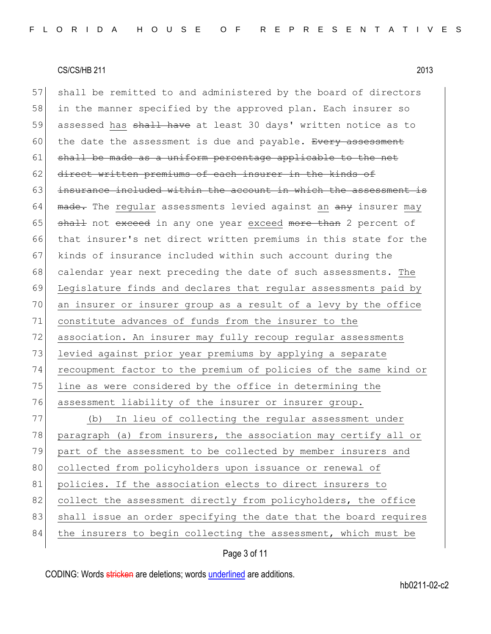57 shall be remitted to and administered by the board of directors 58 in the manner specified by the approved plan. Each insurer so 59 assessed has <del>shall have</del> at least 30 days' written notice as to 60 the date the assessment is due and payable. Every assessment  $61$  shall be made as a uniform percentage applicable to the net 62 direct written premiums of each insurer in the kinds of 63 insurance included within the account in which the assessment is 64 made. The regular assessments levied against an any insurer may 65 shall not exceed in any one year exceed more than 2 percent of 66 that insurer's net direct written premiums in this state for the 67 kinds of insurance included within such account during the 68 calendar year next preceding the date of such assessments. The 69 Legislature finds and declares that regular assessments paid by 70 an insurer or insurer group as a result of a levy by the office 71 constitute advances of funds from the insurer to the 72 association. An insurer may fully recoup regular assessments 73 levied against prior year premiums by applying a separate 74 recoupment factor to the premium of policies of the same kind or 75 line as were considered by the office in determining the 76 assessment liability of the insurer or insurer group. 77 (b) In lieu of collecting the regular assessment under 78 paragraph (a) from insurers, the association may certify all or 79 part of the assessment to be collected by member insurers and 80 collected from policyholders upon issuance or renewal of

- 81 policies. If the association elects to direct insurers to
- 82 collect the assessment directly from policyholders, the office
- 83 shall issue an order specifying the date that the board requires
- 84 the insurers to begin collecting the assessment, which must be

# Page 3 of 11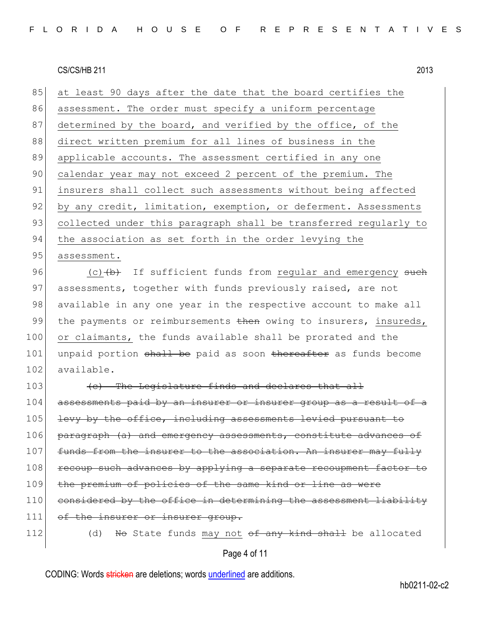85 at least 90 days after the date that the board certifies the 86 assessment. The order must specify a uniform percentage 87 determined by the board, and verified by the office, of the 88 direct written premium for all lines of business in the 89 applicable accounts. The assessment certified in any one 90 calendar year may not exceed 2 percent of the premium. The 91 insurers shall collect such assessments without being affected 92 by any credit, limitation, exemption, or deferment. Assessments 93 collected under this paragraph shall be transferred regularly to 94 the association as set forth in the order levying the 95 assessment. 96  $(c)$   $(b)$  If sufficient funds from regular and emergency such 97 assessments, together with funds previously raised, are not 98 available in any one year in the respective account to make all 99 the payments or reimbursements  $\frac{1}{2}$  then owing to insurers, insureds, 100 or claimants, the funds available shall be prorated and the 101 unpaid portion shall be paid as soon thereafter as funds become 102 available.  $|103|$  (c) The Legislature finds and declares that all 104 assessments paid by an insurer or insurer group as a result of a 105 levy by the office, including assessments levied pursuant to 106 paragraph (a) and emergency assessments, constitute advances of 107 funds from the insurer to the association. An insurer may fully 108 recoup such advances by applying a separate recoupment factor to 109 the premium of policies of the same kind or line as were 110 considered by the office in determining the assessment liability 111 of the insurer or insurer group. 112 (d) No State funds may not  $\theta$  any kind shall be allocated

Page 4 of 11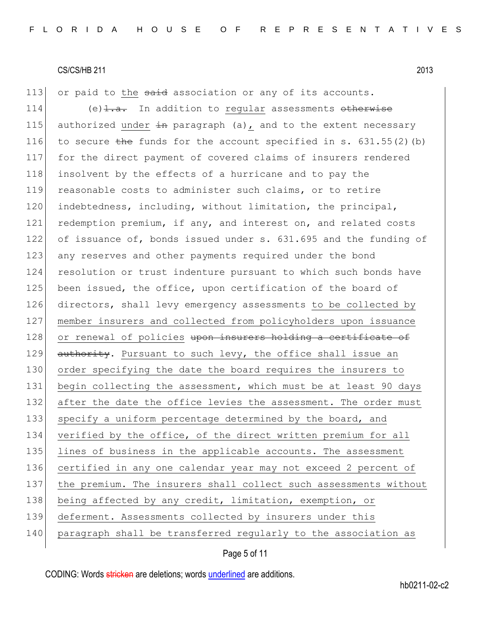113 or paid to the said association or any of its accounts.

114 (e) $\frac{1}{4}$  ... In addition to regular assessments otherwise 115 authorized under  $\pm n$  paragraph (a), and to the extent necessary 116 to secure the funds for the account specified in s.  $631.55(2)$  (b) 117 for the direct payment of covered claims of insurers rendered 118 insolvent by the effects of a hurricane and to pay the 119 reasonable costs to administer such claims, or to retire 120 indebtedness, including, without limitation, the principal, 121 redemption premium, if any, and interest on, and related costs 122 of issuance of, bonds issued under s. 631.695 and the funding of 123 any reserves and other payments required under the bond 124 resolution or trust indenture pursuant to which such bonds have 125 been issued, the office, upon certification of the board of 126 directors, shall levy emergency assessments to be collected by 127 member insurers and collected from policyholders upon issuance 128 or renewal of policies upon insurers holding a certificate of 129 authority. Pursuant to such levy, the office shall issue an 130 order specifying the date the board requires the insurers to 131 begin collecting the assessment, which must be at least 90 days 132 after the date the office levies the assessment. The order must 133 specify a uniform percentage determined by the board, and 134 verified by the office, of the direct written premium for all 135 lines of business in the applicable accounts. The assessment 136 certified in any one calendar year may not exceed 2 percent of 137 the premium. The insurers shall collect such assessments without 138 being affected by any credit, limitation, exemption, or 139 deferment. Assessments collected by insurers under this 140 paragraph shall be transferred regularly to the association as

# Page 5 of 11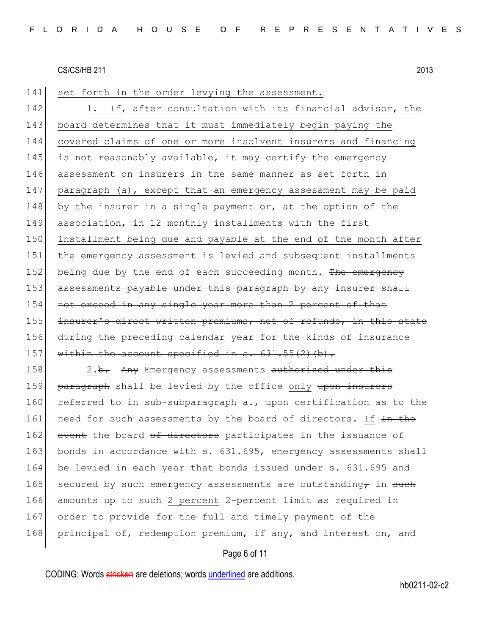141 set forth in the order levying the assessment.

142 1. If, after consultation with its financial advisor, the 143 board determines that it must immediately begin paying the 144 covered claims of one or more insolvent insurers and financing 145 is not reasonably available, it may certify the emergency 146 assessment on insurers in the same manner as set forth in 147 paragraph (a), except that an emergency assessment may be paid 148 by the insurer in a single payment or, at the option of the 149 association, in 12 monthly installments with the first 150 installment being due and payable at the end of the month after 151 the emergency assessment is levied and subsequent installments 152 being due by the end of each succeeding month. The emergency 153 assessments payable under this paragraph by any insurer shall 154 not exceed in any single year more than 2 percent of that 155 insurer's direct written premiums, net of refunds, in this state 156 during the preceding calendar year for the kinds of insurance 157 within the account specified in s.  $631.55(2)(b)$ .

158 2.<del>b.</del> Any Emergency assessments authorized under this 159 paragraph shall be levied by the office only upon insurers 160 **referred to in sub-subparagraph a.,** upon certification as to the 161 need for such assessments by the board of directors. If  $\frac{1}{10}$  the 162 event the board of directors participates in the issuance of 163 bonds in accordance with s. 631.695, emergency assessments shall 164 be levied in each year that bonds issued under s. 631.695 and 165 secured by such emergency assessments are outstanding  $\tau$  in such 166 amounts up to such 2 percent 2-percent limit as required in 167 order to provide for the full and timely payment of the 168 principal of, redemption premium, if any, and interest on, and

## Page 6 of 11

CODING: Words stricken are deletions; words underlined are additions.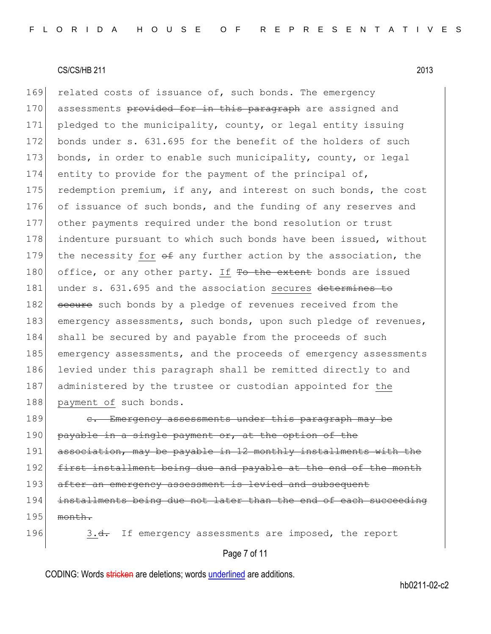169 related costs of issuance of, such bonds. The emergency 170 assessments provided for in this paragraph are assigned and 171 pledged to the municipality, county, or legal entity issuing 172 bonds under s. 631.695 for the benefit of the holders of such 173 bonds, in order to enable such municipality, county, or legal 174 entity to provide for the payment of the principal of, 175 redemption premium, if any, and interest on such bonds, the cost 176 of issuance of such bonds, and the funding of any reserves and 177 other payments required under the bond resolution or trust 178 indenture pursuant to which such bonds have been issued, without 179 the necessity for  $\theta$  any further action by the association, the 180 office, or any other party. If To the extent bonds are issued 181 under s. 631.695 and the association secures determines to 182 secure such bonds by a pledge of revenues received from the 183 emergency assessments, such bonds, upon such pledge of revenues, 184 shall be secured by and payable from the proceeds of such 185 emergency assessments, and the proceeds of emergency assessments 186 levied under this paragraph shall be remitted directly to and 187 administered by the trustee or custodian appointed for the 188 payment of such bonds.

189 c. Emergency assessments under this paragraph may be 190 payable in a single payment or, at the option of the 191 association, may be payable in 12 monthly installments with the 192 first installment being due and payable at the end of the month 193 after an emergency assessment is levied and subsequent 194 installments being due not later than the end of each succeeding  $195$  month. 196 3.<del>d.</del> If emergency assessments are imposed, the report

Page 7 of 11

CODING: Words stricken are deletions; words underlined are additions.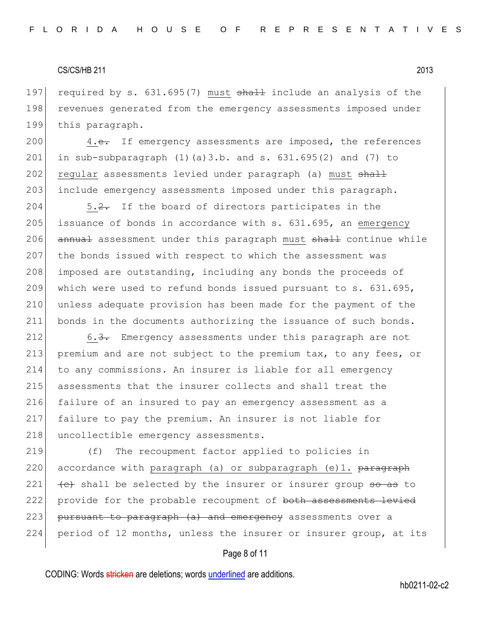197 required by s. 631.695(7) must shall include an analysis of the 198 revenues generated from the emergency assessments imposed under 199 this paragraph.

200 4.e. If emergency assessments are imposed, the references 201 in sub-subparagraph  $(1)(a)3.b.$  and s.  $631.695(2)$  and  $(7)$  to 202 regular assessments levied under paragraph (a) must shall 203 include emergency assessments imposed under this paragraph.

204 5.2. If the board of directors participates in the 205 issuance of bonds in accordance with  $s. 631.695$ , an emergency 206 annual assessment under this paragraph must shall continue while 207 the bonds issued with respect to which the assessment was 208 imposed are outstanding, including any bonds the proceeds of 209 which were used to refund bonds issued pursuant to s.  $631.695$ , 210 unless adequate provision has been made for the payment of the 211 bonds in the documents authorizing the issuance of such bonds.

212 6.3. Emergency assessments under this paragraph are not 213 premium and are not subject to the premium tax, to any fees, or 214 to any commissions. An insurer is liable for all emergency 215 assessments that the insurer collects and shall treat the 216 failure of an insured to pay an emergency assessment as a 217 failure to pay the premium. An insurer is not liable for 218 uncollectible emergency assessments.

219 (f) The recoupment factor applied to policies in 220 accordance with paragraph (a) or subparagraph (e) 1.  $\frac{1}{\text{paragraph}}$ 221  $\leftarrow$  shall be selected by the insurer or insurer group so as to 222 provide for the probable recoupment of both assessments levied 223 pursuant to paragraph (a) and emergency assessments over a 224 period of 12 months, unless the insurer or insurer group, at its

## Page 8 of 11

CODING: Words stricken are deletions; words underlined are additions.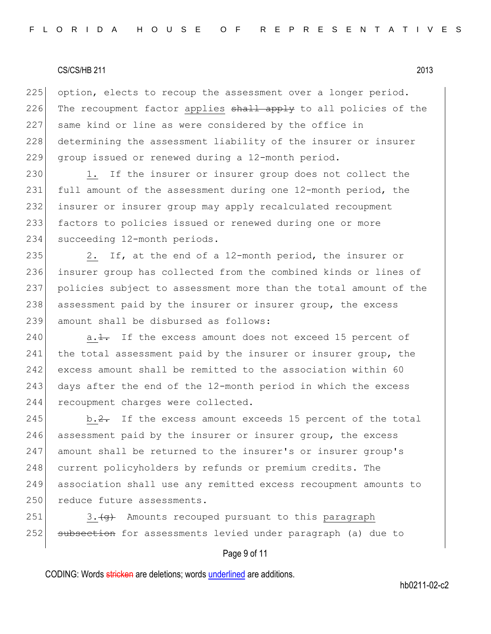225 option, elects to recoup the assessment over a longer period. 226 The recoupment factor applies shall apply to all policies of the 227 same kind or line as were considered by the office in 228 determining the assessment liability of the insurer or insurer 229 group issued or renewed during a 12-month period.

230 1. If the insurer or insurer group does not collect the 231 full amount of the assessment during one 12-month period, the 232 insurer or insurer group may apply recalculated recoupment 233 factors to policies issued or renewed during one or more 234 succeeding 12-month periods.

235 2. If, at the end of a 12-month period, the insurer or 236 insurer group has collected from the combined kinds or lines of 237 policies subject to assessment more than the total amount of the 238 assessment paid by the insurer or insurer group, the excess 239 amount shall be disbursed as follows:

240  $a.\frac{1}{1}$ . If the excess amount does not exceed 15 percent of 241 the total assessment paid by the insurer or insurer group, the 242 excess amount shall be remitted to the association within 60 243 days after the end of the 12-month period in which the excess 244 recoupment charges were collected.

245 b.2. If the excess amount exceeds 15 percent of the total 246 assessment paid by the insurer or insurer group, the excess 247 amount shall be returned to the insurer's or insurer group's 248 current policyholders by refunds or premium credits. The 249 association shall use any remitted excess recoupment amounts to 250 reduce future assessments.

251 3. $\left\langle 3+4\right\rangle$  Amounts recouped pursuant to this paragraph 252 subsection for assessments levied under paragraph (a) due to

## Page 9 of 11

CODING: Words stricken are deletions; words underlined are additions.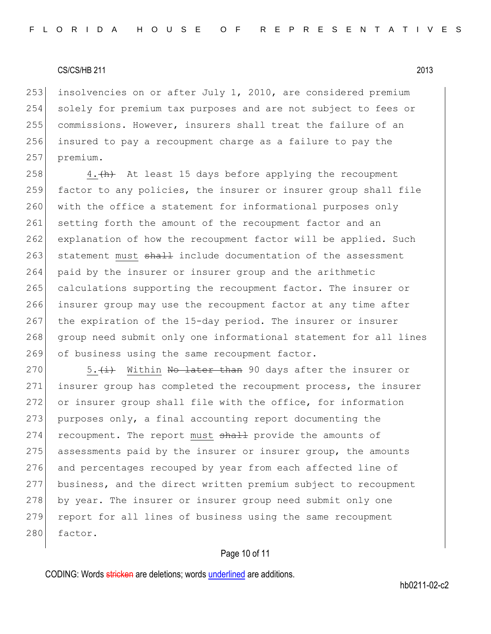253 insolvencies on or after July 1, 2010, are considered premium 254 solely for premium tax purposes and are not subject to fees or 255 commissions. However, insurers shall treat the failure of an 256 insured to pay a recoupment charge as a failure to pay the 257 premium.

258  $\vert$  4.  $\vert$  At least 15 days before applying the recoupment 259 factor to any policies, the insurer or insurer group shall file 260 with the office a statement for informational purposes only 261 setting forth the amount of the recoupment factor and an 262 explanation of how the recoupment factor will be applied. Such 263 statement must shall include documentation of the assessment 264 paid by the insurer or insurer group and the arithmetic 265 calculations supporting the recoupment factor. The insurer or 266 insurer group may use the recoupment factor at any time after 267 the expiration of the 15-day period. The insurer or insurer 268 group need submit only one informational statement for all lines 269 of business using the same recoupment factor.

270  $\vert$  5.  $\langle i \rangle$  Within No later than 90 days after the insurer or 271 insurer group has completed the recoupment process, the insurer 272 or insurer group shall file with the office, for information 273 purposes only, a final accounting report documenting the 274 recoupment. The report must shall provide the amounts of 275 assessments paid by the insurer or insurer group, the amounts 276 and percentages recouped by year from each affected line of 277 business, and the direct written premium subject to recoupment 278 by year. The insurer or insurer group need submit only one 279 report for all lines of business using the same recoupment 280 factor.

# Page 10 of 11

CODING: Words stricken are deletions; words underlined are additions.